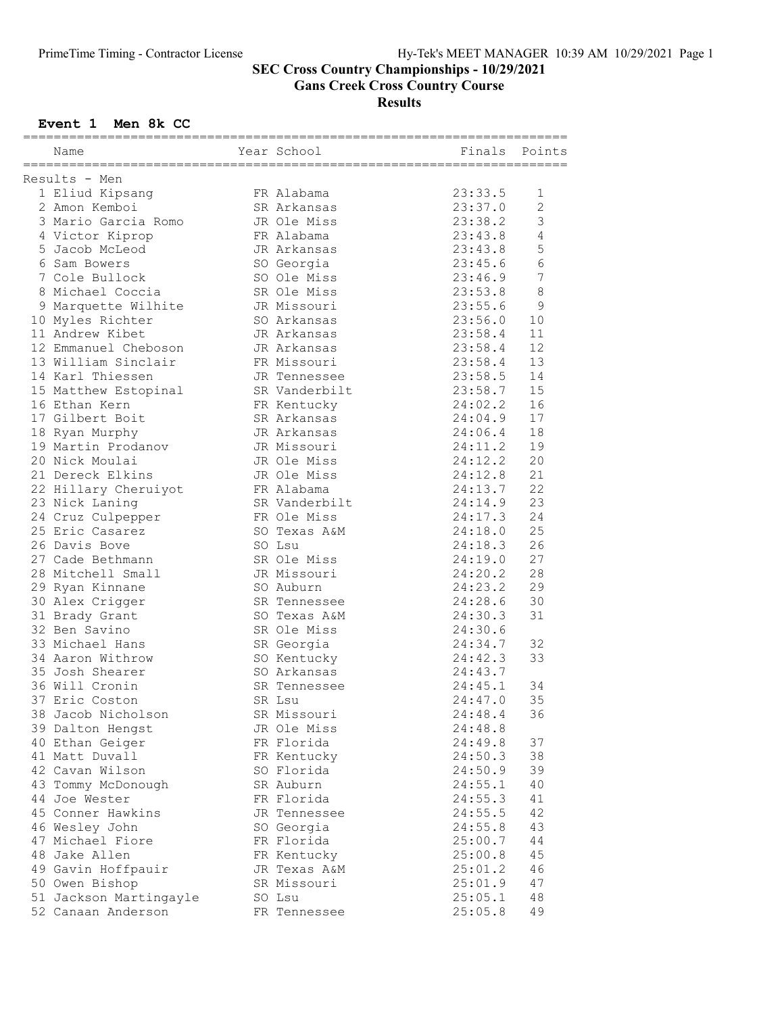#### SEC Cross Country Championships - 10/29/2021

Gans Creek Cross Country Course

#### Results

### Event 1 Men 8k CC

| Name                   | Year School   | Finals  | Points         |
|------------------------|---------------|---------|----------------|
|                        |               |         |                |
| Results - Men          |               |         |                |
| 1 Eliud Kipsang        | FR Alabama    | 23:33.5 | 1              |
| 2 Amon Kemboi          | SR Arkansas   | 23:37.0 | $\overline{c}$ |
| 3 Mario Garcia Romo    | JR Ole Miss   | 23:38.2 | 3              |
| 4 Victor Kiprop        | FR Alabama    | 23:43.8 | 4              |
| 5 Jacob McLeod         | JR Arkansas   | 23:43.8 | 5              |
| 6 Sam Bowers           | SO Georgia    | 23:45.6 | $\sqrt{6}$     |
| 7 Cole Bullock         | SO Ole Miss   | 23:46.9 | $\overline{7}$ |
| 8 Michael Coccia       | SR Ole Miss   | 23:53.8 | $\,8\,$        |
| 9 Marquette Wilhite    | JR Missouri   | 23:55.6 | $\mathsf 9$    |
| 10 Myles Richter       | SO Arkansas   | 23:56.0 | 10             |
| 11 Andrew Kibet        | JR Arkansas   | 23:58.4 | 11             |
| 12 Emmanuel Cheboson   | JR Arkansas   | 23:58.4 | 12             |
| 13 William Sinclair    | FR Missouri   | 23:58.4 | 13             |
| 14 Karl Thiessen       | JR Tennessee  | 23:58.5 | 14             |
| 15 Matthew Estopinal   | SR Vanderbilt | 23:58.7 | 15             |
| 16 Ethan Kern          | FR Kentucky   | 24:02.2 | 16             |
| 17 Gilbert Boit        | SR Arkansas   | 24:04.9 | 17             |
| 18 Ryan Murphy         | JR Arkansas   | 24:06.4 | 18             |
| 19 Martin Prodanov     | JR Missouri   | 24:11.2 | 19             |
| 20 Nick Moulai         | JR Ole Miss   | 24:12.2 | 20             |
| 21 Dereck Elkins       | JR Ole Miss   | 24:12.8 | 21             |
| 22 Hillary Cheruiyot   | FR Alabama    | 24:13.7 | 22             |
| 23 Nick Laning         | SR Vanderbilt | 24:14.9 | 23             |
| 24 Cruz Culpepper      | FR Ole Miss   | 24:17.3 | 24             |
| 25 Eric Casarez        | SO Texas A&M  | 24:18.0 | 25             |
| 26 Davis Bove          | SO Lsu        | 24:18.3 | 26             |
| 27 Cade Bethmann       | SR Ole Miss   | 24:19.0 | 27             |
| 28 Mitchell Small      | JR Missouri   | 24:20.2 | 28             |
| 29 Ryan Kinnane        | SO Auburn     | 24:23.2 | 29             |
| 30 Alex Crigger        | SR Tennessee  | 24:28.6 | 30             |
| 31 Brady Grant         | SO Texas A&M  | 24:30.3 | 31             |
| 32 Ben Savino          | SR Ole Miss   | 24:30.6 |                |
| 33 Michael Hans        | SR Georgia    | 24:34.7 | 32             |
|                        |               |         |                |
| 34 Aaron Withrow       | SO Kentucky   | 24:42.3 | 33             |
| 35 Josh Shearer        | SO Arkansas   | 24:43.7 |                |
| 36 Will Cronin         | SR Tennessee  | 24:45.1 | 34             |
| 37 Eric Coston         | SR Lsu        | 24:47.0 | 35             |
| 38 Jacob Nicholson     | SR Missouri   | 24:48.4 | 36             |
| 39 Dalton Hengst       | JR Ole Miss   | 24:48.8 |                |
| 40 Ethan Geiger        | FR Florida    | 24:49.8 | 37             |
| 41 Matt Duvall         | FR Kentucky   | 24:50.3 | 38             |
| 42 Cavan Wilson        | SO Florida    | 24:50.9 | 39             |
| 43 Tommy McDonough     | SR Auburn     | 24:55.1 | 40             |
| 44 Joe Wester          | FR Florida    | 24:55.3 | 41             |
| 45 Conner Hawkins      | JR Tennessee  | 24:55.5 | 42             |
| 46 Wesley John         | SO Georgia    | 24:55.8 | 43             |
| 47 Michael Fiore       | FR Florida    | 25:00.7 | 44             |
| 48 Jake Allen          | FR Kentucky   | 25:00.8 | 45             |
| 49 Gavin Hoffpauir     | JR Texas A&M  | 25:01.2 | 46             |
| 50 Owen Bishop         | SR Missouri   | 25:01.9 | 47             |
| 51 Jackson Martingayle | SO Lsu        | 25:05.1 | 48             |
| 52 Canaan Anderson     | FR Tennessee  | 25:05.8 | 49             |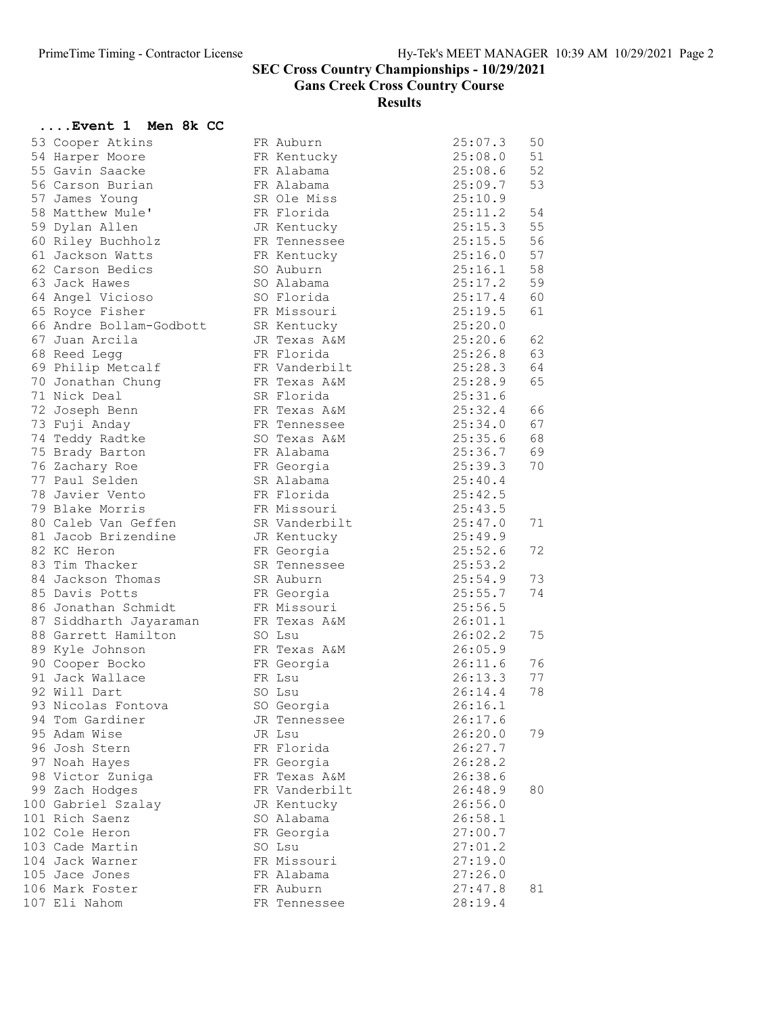....Event 1 Men 8k CC

## SEC Cross Country Championships - 10/29/2021

Gans Creek Cross Country Course

Results

| 53 Cooper Atkins                   | FR Auburn<br>FR Kentucky | 25:07.3<br>25:08.0 | 50<br>51 |
|------------------------------------|--------------------------|--------------------|----------|
| 54 Harper Moore<br>55 Gavin Saacke |                          |                    | 52       |
| 56 Carson Burian                   | FR Alabama<br>FR Alabama | 25:08.6<br>25:09.7 | 53       |
|                                    |                          |                    |          |
| 57 James Young                     | SR Ole Miss              | 25:10.9            |          |
| 58 Matthew Mule'                   | FR Florida               | 25:11.2            | 54       |
| 59 Dylan Allen                     | JR Kentucky              | 25:15.3            | 55       |
| 60 Riley Buchholz                  | FR Tennessee             | 25:15.5            | 56       |
| 61 Jackson Watts                   | FR Kentucky              | 25:16.0            | 57       |
| 62 Carson Bedics                   | SO Auburn                | 25:16.1            | 58       |
| 63 Jack Hawes                      | SO Alabama               | 25:17.2            | 59       |
| 64 Angel Vicioso                   | SO Florida               | 25:17.4            | 60       |
| 65 Royce Fisher                    | FR Missouri              | 25:19.5            | 61       |
| 66 Andre Bollam-Godbott            | SR Kentucky              | 25:20.0            |          |
| 67 Juan Arcila                     | JR Texas A&M             | 25:20.6            | 62       |
| 68 Reed Legg                       | FR Florida               | 25:26.8            | 63       |
| 69 Philip Metcalf                  | FR Vanderbilt            | 25:28.3            | 64       |
| 70 Jonathan Chung                  | FR Texas A&M             | 25:28.9            | 65       |
| 71 Nick Deal                       | SR Florida               | 25:31.6            |          |
| 72 Joseph Benn                     | FR Texas A&M             | 25:32.4            | 66       |
| 73 Fuji Anday                      | FR Tennessee             | 25:34.0            | 67       |
| 74 Teddy Radtke                    | SO Texas A&M             | 25:35.6            | 68       |
| 75 Brady Barton                    | FR Alabama               | 25:36.7            | 69       |
| 76 Zachary Roe                     | FR Georgia               | 25:39.3            | 70       |
| 77 Paul Selden                     | SR Alabama               | 25:40.4            |          |
| 78 Javier Vento                    | FR Florida               | 25:42.5            |          |
| 79 Blake Morris                    | FR Missouri              | 25:43.5            |          |
| 80 Caleb Van Geffen                | SR Vanderbilt            | 25:47.0            | 71       |
| 81 Jacob Brizendine                | JR Kentucky              | 25:49.9            |          |
| 82 KC Heron                        | FR Georgia               | 25:52.6            | 72       |
| 83 Tim Thacker                     | SR Tennessee             | 25:53.2            |          |
| 84 Jackson Thomas                  | SR Auburn                | 25:54.9            | 73       |
| 85 Davis Potts                     | FR Georgia               | 25:55.7            | 74       |
| 86 Jonathan Schmidt                | FR Missouri              | 25:56.5            |          |
| 87 Siddharth Jayaraman             | FR Texas A&M             | 26:01.1            |          |
| 88 Garrett Hamilton                | SO Lsu                   | 26:02.2            | 75       |
| 89 Kyle Johnson                    | FR Texas A&M             | 26:05.9            |          |
| 90 Cooper Bocko                    | FR Georgia               | 26:11.6            | 76       |
| 91 Jack Wallace                    | FR Lsu                   | 26:13.3            | 77       |
| 92 Will Dart                       | SO Lsu                   | 26:14.4            | 78       |
| 93 Nicolas Fontova                 | SO Georgia               | 26:16.1            |          |
| 94 Tom Gardiner                    | JR Tennessee             | 26:17.6            |          |
| 95 Adam Wise                       | JR Lsu                   | 26:20.0            | 79       |
| 96 Josh Stern                      | FR Florida               | 26:27.7            |          |
| 97 Noah Hayes                      | FR Georgia               | 26:28.2            |          |
| 98 Victor Zuniga                   | FR Texas A&M             | 26:38.6            |          |
| 99 Zach Hodges                     | FR Vanderbilt            | 26:48.9            | 80       |
| 100 Gabriel Szalay                 | JR Kentucky              | 26:56.0            |          |
| 101 Rich Saenz                     | SO Alabama               | 26:58.1            |          |
| 102 Cole Heron                     | FR Georgia               | 27:00.7            |          |
| 103 Cade Martin                    | SO Lsu                   | 27:01.2            |          |
| 104 Jack Warner                    | FR Missouri              | 27:19.0            |          |
| 105 Jace Jones                     | FR Alabama               | 27:26.0            |          |
| 106 Mark Foster                    | FR Auburn                | 27:47.8            | 81       |
| 107 Eli Nahom                      | FR Tennessee             | 28:19.4            |          |
|                                    |                          |                    |          |